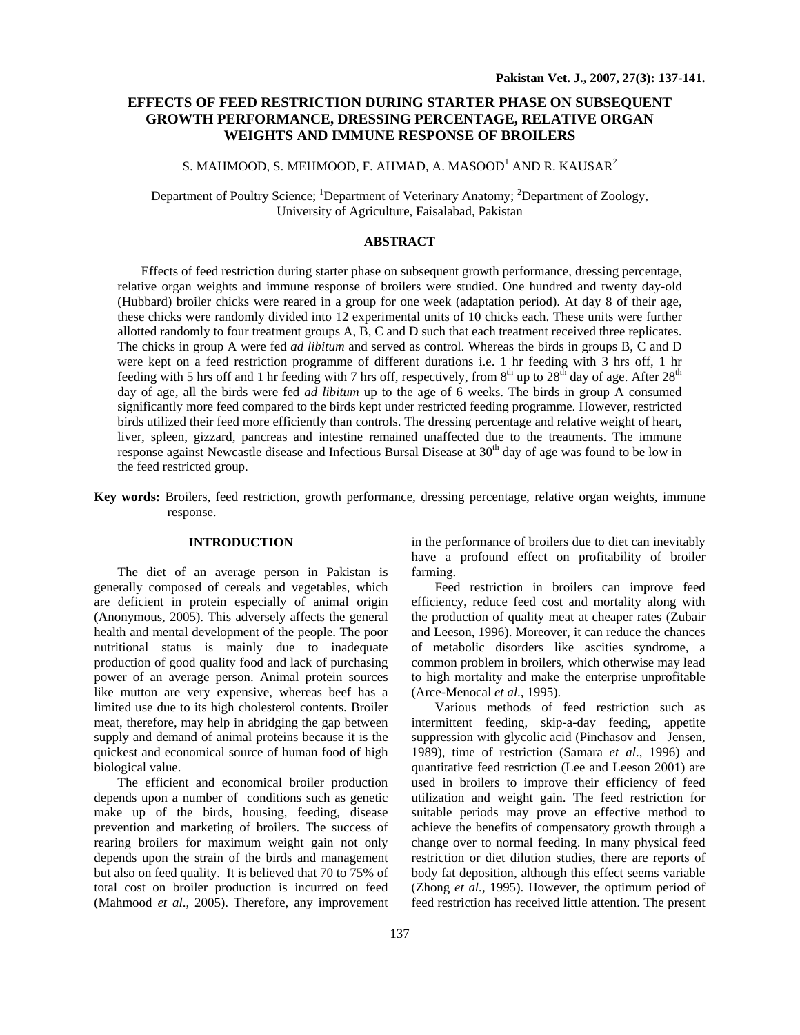# **EFFECTS OF FEED RESTRICTION DURING STARTER PHASE ON SUBSEQUENT GROWTH PERFORMANCE, DRESSING PERCENTAGE, RELATIVE ORGAN WEIGHTS AND IMMUNE RESPONSE OF BROILERS**

S. MAHMOOD, S. MEHMOOD, F. AHMAD, A. MASOOD $^1$  AND R. KAUSAR $^2$ 

Department of Poultry Science; <sup>1</sup>Department of Veterinary Anatomy; <sup>2</sup>Department of Zoology, University of Agriculture, Faisalabad, Pakistan

#### **ABSTRACT**

Effects of feed restriction during starter phase on subsequent growth performance, dressing percentage, relative organ weights and immune response of broilers were studied. One hundred and twenty day-old (Hubbard) broiler chicks were reared in a group for one week (adaptation period). At day 8 of their age, these chicks were randomly divided into 12 experimental units of 10 chicks each. These units were further allotted randomly to four treatment groups A, B, C and D such that each treatment received three replicates. The chicks in group A were fed *ad libitum* and served as control. Whereas the birds in groups B, C and D were kept on a feed restriction programme of different durations i.e. 1 hr feeding with 3 hrs off, 1 hr feeding with 5 hrs off and 1 hr feeding with 7 hrs off, respectively, from  $8<sup>th</sup>$  up to  $28<sup>th</sup>$  day of age. After  $28<sup>th</sup>$ day of age, all the birds were fed *ad libitum* up to the age of 6 weeks. The birds in group A consumed significantly more feed compared to the birds kept under restricted feeding programme. However, restricted birds utilized their feed more efficiently than controls. The dressing percentage and relative weight of heart, liver, spleen, gizzard, pancreas and intestine remained unaffected due to the treatments. The immune response against Newcastle disease and Infectious Bursal Disease at  $30<sup>th</sup>$  day of age was found to be low in the feed restricted group.

**Key words:** Broilers, feed restriction, growth performance, dressing percentage, relative organ weights, immune response.

## **INTRODUCTION**

The diet of an average person in Pakistan is generally composed of cereals and vegetables, which are deficient in protein especially of animal origin (Anonymous, 2005). This adversely affects the general health and mental development of the people. The poor nutritional status is mainly due to inadequate production of good quality food and lack of purchasing power of an average person. Animal protein sources like mutton are very expensive, whereas beef has a limited use due to its high cholesterol contents. Broiler meat, therefore, may help in abridging the gap between supply and demand of animal proteins because it is the quickest and economical source of human food of high biological value.

The efficient and economical broiler production depends upon a number of conditions such as genetic make up of the birds, housing, feeding, disease prevention and marketing of broilers. The success of rearing broilers for maximum weight gain not only depends upon the strain of the birds and management but also on feed quality. It is believed that 70 to 75% of total cost on broiler production is incurred on feed (Mahmood *et al*., 2005). Therefore, any improvement

in the performance of broilers due to diet can inevitably have a profound effect on profitability of broiler farming.

Feed restriction in broilers can improve feed efficiency, reduce feed cost and mortality along with the production of quality meat at cheaper rates (Zubair and Leeson, 1996). Moreover, it can reduce the chances of metabolic disorders like ascities syndrome, a common problem in broilers, which otherwise may lead to high mortality and make the enterprise unprofitable (Arce-Menocal *et al*., 1995).

Various methods of feed restriction such as intermittent feeding, skip-a-day feeding, appetite suppression with glycolic acid (Pinchasov and Jensen, 1989), time of restriction (Samara *et al*., 1996) and quantitative feed restriction (Lee and Leeson 2001) are used in broilers to improve their efficiency of feed utilization and weight gain. The feed restriction for suitable periods may prove an effective method to achieve the benefits of compensatory growth through a change over to normal feeding. In many physical feed restriction or diet dilution studies, there are reports of body fat deposition, although this effect seems variable (Zhong *et al.,* 1995). However, the optimum period of feed restriction has received little attention. The present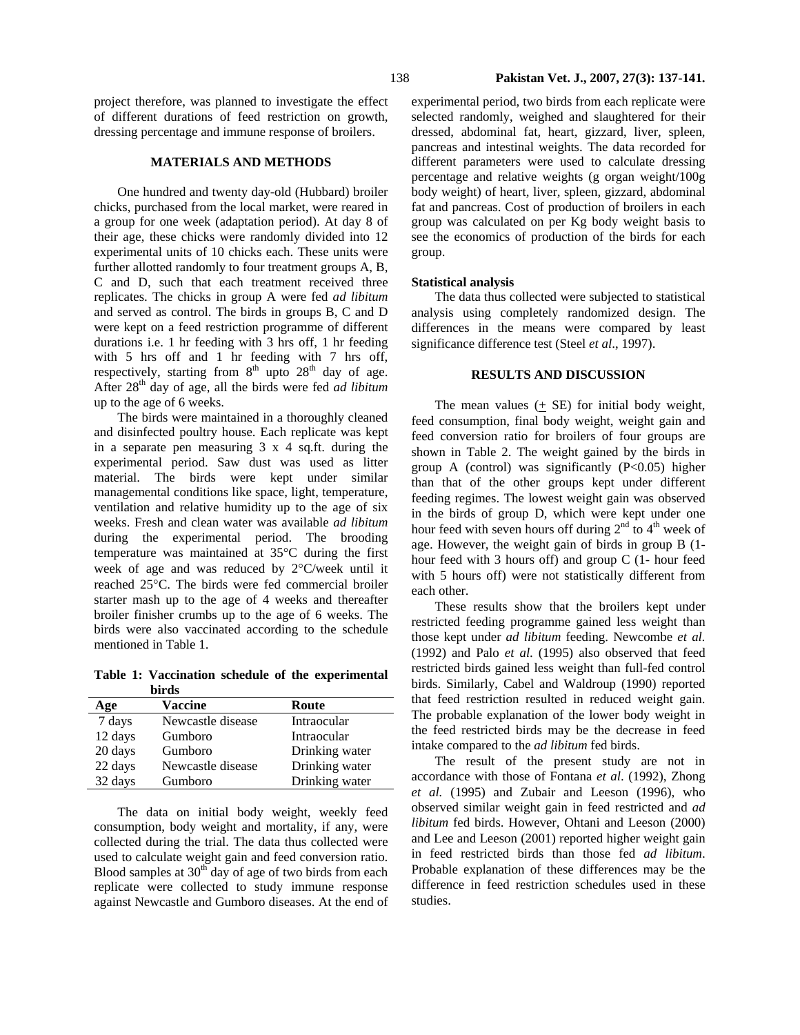project therefore, was planned to investigate the effect of different durations of feed restriction on growth, dressing percentage and immune response of broilers.

#### **MATERIALS AND METHODS**

One hundred and twenty day-old (Hubbard) broiler chicks, purchased from the local market, were reared in a group for one week (adaptation period). At day 8 of their age, these chicks were randomly divided into 12 experimental units of 10 chicks each. These units were further allotted randomly to four treatment groups A, B, C and D, such that each treatment received three replicates. The chicks in group A were fed *ad libitum*  and served as control. The birds in groups B, C and D were kept on a feed restriction programme of different durations i.e. 1 hr feeding with 3 hrs off, 1 hr feeding with 5 hrs off and 1 hr feeding with 7 hrs off, respectively, starting from  $8<sup>th</sup>$  upto  $28<sup>th</sup>$  day of age. After 28<sup>th</sup> day of age, all the birds were fed *ad libitum* up to the age of 6 weeks.

The birds were maintained in a thoroughly cleaned and disinfected poultry house. Each replicate was kept in a separate pen measuring 3 x 4 sq.ft. during the experimental period. Saw dust was used as litter material. The birds were kept under similar managemental conditions like space, light, temperature, ventilation and relative humidity up to the age of six weeks. Fresh and clean water was available *ad libitum* during the experimental period. The brooding temperature was maintained at 35°C during the first week of age and was reduced by 2°C/week until it reached 25°C. The birds were fed commercial broiler starter mash up to the age of 4 weeks and thereafter broiler finisher crumbs up to the age of 6 weeks. The birds were also vaccinated according to the schedule mentioned in Table 1.

**Table 1: Vaccination schedule of the experimental birds** 

| Age     | Vaccine           | Route          |
|---------|-------------------|----------------|
| 7 days  | Newcastle disease | Intraocular    |
| 12 days | Gumboro           | Intraocular    |
| 20 days | Gumboro           | Drinking water |
| 22 days | Newcastle disease | Drinking water |
| 32 days | Gumboro           | Drinking water |

The data on initial body weight, weekly feed consumption, body weight and mortality, if any, were collected during the trial. The data thus collected were used to calculate weight gain and feed conversion ratio. Blood samples at  $30<sup>th</sup>$  day of age of two birds from each replicate were collected to study immune response against Newcastle and Gumboro diseases. At the end of experimental period, two birds from each replicate were selected randomly, weighed and slaughtered for their dressed, abdominal fat, heart, gizzard, liver, spleen, pancreas and intestinal weights. The data recorded for different parameters were used to calculate dressing percentage and relative weights (g organ weight/100g body weight) of heart, liver, spleen, gizzard, abdominal fat and pancreas. Cost of production of broilers in each group was calculated on per Kg body weight basis to see the economics of production of the birds for each group.

## **Statistical analysis**

 The data thus collected were subjected to statistical analysis using completely randomized design. The differences in the means were compared by least significance difference test (Steel *et al*., 1997).

## **RESULTS AND DISCUSSION**

The mean values  $($   $\pm$  SE) for initial body weight, feed consumption, final body weight, weight gain and feed conversion ratio for broilers of four groups are shown in Table 2. The weight gained by the birds in group A (control) was significantly  $(P<0.05)$  higher than that of the other groups kept under different feeding regimes. The lowest weight gain was observed in the birds of group D, which were kept under one hour feed with seven hours off during  $2<sup>nd</sup>$  to  $4<sup>th</sup>$  week of age. However, the weight gain of birds in group B (1 hour feed with 3 hours off) and group C (1- hour feed with 5 hours off) were not statistically different from each other.

These results show that the broilers kept under restricted feeding programme gained less weight than those kept under *ad libitum* feeding. Newcombe *et al.*  (1992) and Palo *et al*. (1995) also observed that feed restricted birds gained less weight than full-fed control birds. Similarly, Cabel and Waldroup (1990) reported that feed restriction resulted in reduced weight gain. The probable explanation of the lower body weight in the feed restricted birds may be the decrease in feed intake compared to the *ad libitum* fed birds.

The result of the present study are not in accordance with those of Fontana *et al*. (1992), Zhong *et al.* (1995) and Zubair and Leeson (1996), who observed similar weight gain in feed restricted and *ad libitum* fed birds. However, Ohtani and Leeson (2000) and Lee and Leeson (2001) reported higher weight gain in feed restricted birds than those fed *ad libitum*. Probable explanation of these differences may be the difference in feed restriction schedules used in these studies.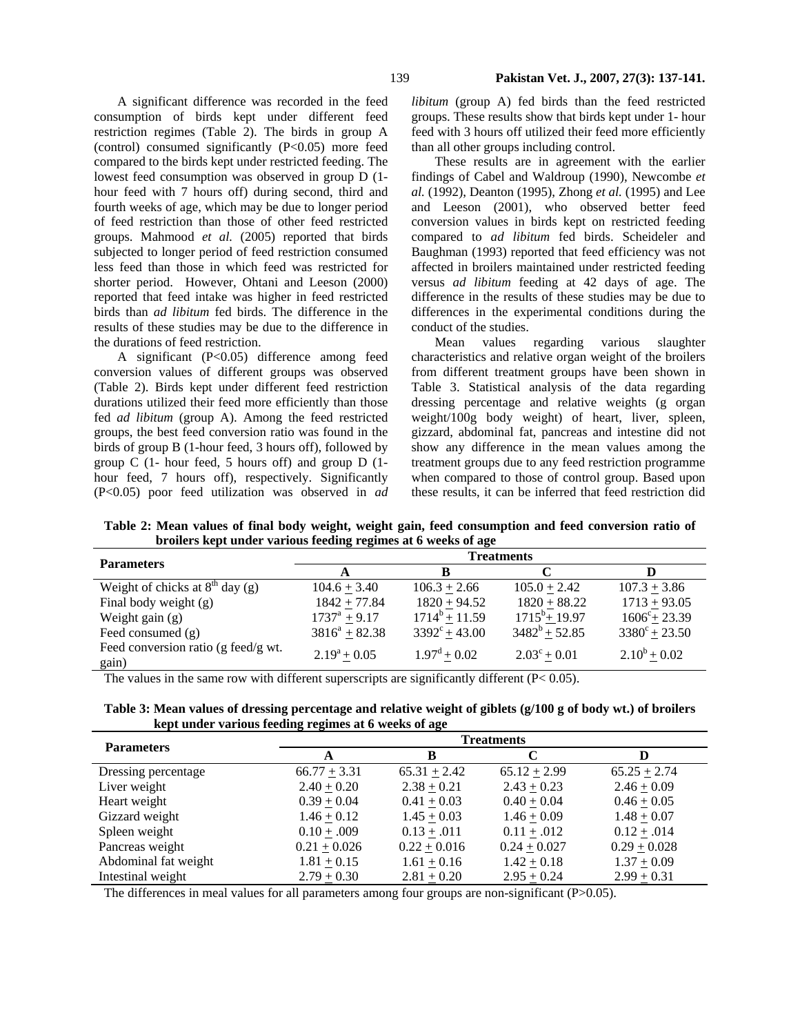A significant difference was recorded in the feed consumption of birds kept under different feed restriction regimes (Table 2). The birds in group A (control) consumed significantly  $(P<0.05)$  more feed compared to the birds kept under restricted feeding. The lowest feed consumption was observed in group D (1 hour feed with 7 hours off) during second, third and fourth weeks of age, which may be due to longer period of feed restriction than those of other feed restricted groups. Mahmood *et al.* (2005) reported that birds subjected to longer period of feed restriction consumed less feed than those in which feed was restricted for shorter period. However, Ohtani and Leeson (2000) reported that feed intake was higher in feed restricted birds than *ad libitum* fed birds. The difference in the results of these studies may be due to the difference in the durations of feed restriction.

A significant (P<0.05) difference among feed conversion values of different groups was observed (Table 2). Birds kept under different feed restriction durations utilized their feed more efficiently than those fed *ad libitum* (group A). Among the feed restricted groups, the best feed conversion ratio was found in the birds of group B (1-hour feed, 3 hours off), followed by group C (1- hour feed, 5 hours off) and group D (1 hour feed, 7 hours off), respectively. Significantly (P<0.05) poor feed utilization was observed in *ad* 

*libitum* (group A) fed birds than the feed restricted groups. These results show that birds kept under 1- hour feed with 3 hours off utilized their feed more efficiently than all other groups including control.

These results are in agreement with the earlier findings of Cabel and Waldroup (1990), Newcombe *et al.* (1992), Deanton (1995), Zhong *et al.* (1995) and Lee and Leeson (2001), who observed better feed conversion values in birds kept on restricted feeding compared to *ad libitum* fed birds. Scheideler and Baughman (1993) reported that feed efficiency was not affected in broilers maintained under restricted feeding versus *ad libitum* feeding at 42 days of age. The difference in the results of these studies may be due to differences in the experimental conditions during the conduct of the studies.

Mean values regarding various slaughter characteristics and relative organ weight of the broilers from different treatment groups have been shown in Table 3. Statistical analysis of the data regarding dressing percentage and relative weights (g organ weight/100g body weight) of heart, liver, spleen, gizzard, abdominal fat, pancreas and intestine did not show any difference in the mean values among the treatment groups due to any feed restriction programme when compared to those of control group. Based upon these results, it can be inferred that feed restriction did

**Table 2: Mean values of final body weight, weight gain, feed consumption and feed conversion ratio of broilers kept under various feeding regimes at 6 weeks of age** 

| oronors nept anuer various recuming regaines at 6 weeks or age |                       |                        |                       |                        |  |  |
|----------------------------------------------------------------|-----------------------|------------------------|-----------------------|------------------------|--|--|
| <b>Parameters</b>                                              | <b>Treatments</b>     |                        |                       |                        |  |  |
|                                                                |                       |                        |                       |                        |  |  |
| Weight of chicks at $8th$ day (g)                              | $104.6 + 3.40$        | $106.3 + 2.66$         | $105.0 + 2.42$        | $107.3 + 3.86$         |  |  |
| Final body weight $(g)$                                        | $1842 + 77.84$        | $1820 + 94.52$         | $1820 + 88.22$        | $1713 + 93.05$         |  |  |
| Weight gain $(g)$                                              | $1737^{\rm a} + 9.17$ | $1714^b + 11.59$       | $1715^b + 19.97$      | $1606^{\circ}+23.39$   |  |  |
| Feed consumed $(g)$                                            | $3816^a + 82.38$      | $3392^{\circ}$ + 43.00 | $3482^b + 52.85$      | $3380^{\circ}$ + 23.50 |  |  |
| Feed conversion ratio (g feed/g wt.                            | $2.19^a + 0.05$       | $1.97^{\rm d} + 0.02$  | $2.03^{\circ} + 0.01$ | $2.10^b + 0.02$        |  |  |
| gain)                                                          |                       |                        |                       |                        |  |  |

The values in the same row with different superscripts are significantly different  $(P< 0.05)$ .

**Table 3: Mean values of dressing percentage and relative weight of giblets (g/100 g of body wt.) of broilers kept under various feeding regimes at 6 weeks of age** 

| <b>Parameters</b>    | <b>Treatments</b> |                 |                |                |  |
|----------------------|-------------------|-----------------|----------------|----------------|--|
|                      | A                 | B               | ◠              |                |  |
| Dressing percentage  | $66.77 + 3.31$    | $65.31 + 2.42$  | $65.12 + 2.99$ | $65.25 + 2.74$ |  |
| Liver weight         | $2.40 + 0.20$     | $2.38 \pm 0.21$ | $2.43 + 0.23$  | $2.46 + 0.09$  |  |
| Heart weight         | $0.39 + 0.04$     | $0.41 + 0.03$   | $0.40 + 0.04$  | $0.46 + 0.05$  |  |
| Gizzard weight       | $1.46 + 0.12$     | $1.45 + 0.03$   | $1.46 + 0.09$  | $1.48 + 0.07$  |  |
| Spleen weight        | $0.10 + .009$     | $0.13 + .011$   | $0.11 + .012$  | $0.12 + .014$  |  |
| Pancreas weight      | $0.21 + 0.026$    | $0.22 + 0.016$  | $0.24 + 0.027$ | $0.29 + 0.028$ |  |
| Abdominal fat weight | $1.81 + 0.15$     | $1.61 + 0.16$   | $1.42 + 0.18$  | $1.37 + 0.09$  |  |
| Intestinal weight    | $2.79 + 0.30$     | $2.81 + 0.20$   | $2.95 + 0.24$  | $2.99 + 0.31$  |  |

The differences in meal values for all parameters among four groups are non-significant (P>0.05).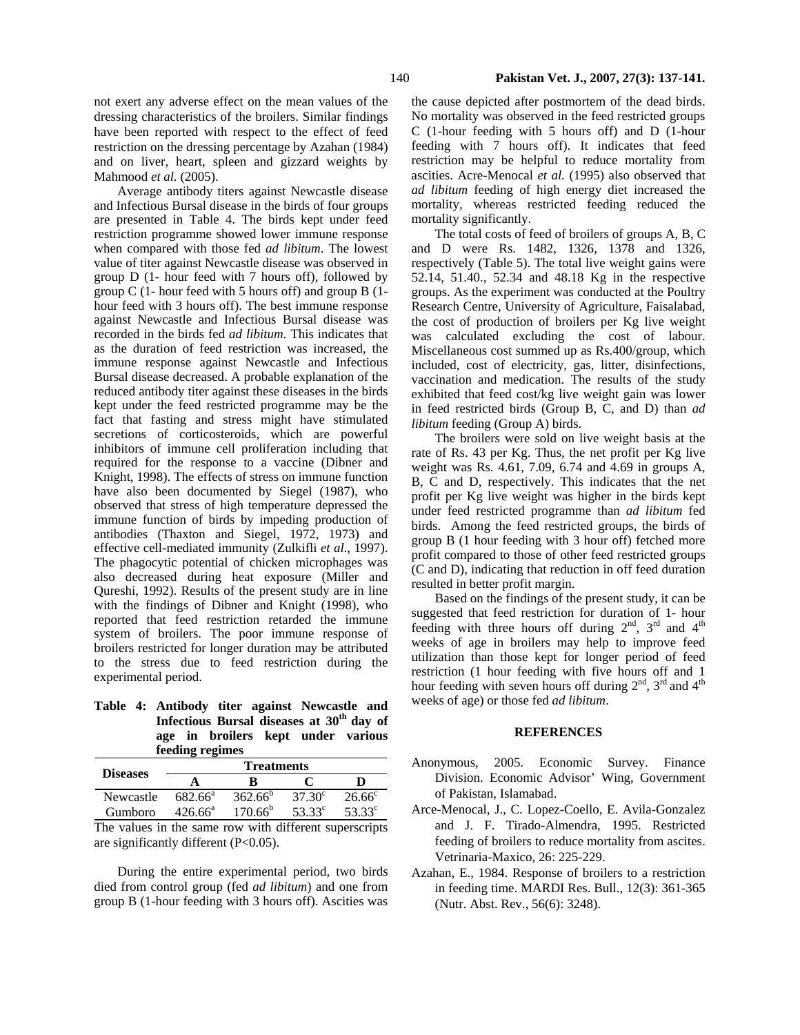not exert any adverse effect on the mean values of the dressing characteristics of the broilers. Similar findings have been reported with respect to the effect of feed restriction on the dressing percentage by Azahan (1984) and on liver, heart, spleen and gizzard weights by Mahmood *et al.* (2005).

Average antibody titers against Newcastle disease and Infectious Bursal disease in the birds of four groups are presented in Table 4. The birds kept under feed restriction programme showed lower immune response when compared with those fed *ad libitum*. The lowest value of titer against Newcastle disease was observed in group D (1- hour feed with 7 hours off), followed by group C (1- hour feed with 5 hours off) and group B (1 hour feed with 3 hours off). The best immune response against Newcastle and Infectious Bursal disease was recorded in the birds fed *ad libitum*. This indicates that as the duration of feed restriction was increased, the immune response against Newcastle and Infectious Bursal disease decreased. A probable explanation of the reduced antibody titer against these diseases in the birds kept under the feed restricted programme may be the fact that fasting and stress might have stimulated secretions of corticosteroids, which are powerful inhibitors of immune cell proliferation including that required for the response to a vaccine (Dibner and Knight, 1998). The effects of stress on immune function have also been documented by Siegel (1987), who observed that stress of high temperature depressed the immune function of birds by impeding production of antibodies (Thaxton and Siegel, 1972, 1973) and effective cell-mediated immunity (Zulkifli *et al*., 1997). The phagocytic potential of chicken microphages was also decreased during heat exposure (Miller and Qureshi, 1992). Results of the present study are in line with the findings of Dibner and Knight (1998), who reported that feed restriction retarded the immune system of broilers. The poor immune response of broilers restricted for longer duration may be attributed to the stress due to feed restriction during the experimental period.

**Table 4: Antibody titer against Newcastle and Infectious Bursal diseases at 30th day of age in broilers kept under various feeding regimes** 

|                 | <b>Treatments</b> |                  |                  |                 |  |
|-----------------|-------------------|------------------|------------------|-----------------|--|
| <b>Diseases</b> |                   |                  |                  |                 |  |
| Newcastle       | $682.66^{\circ}$  | $362.66^{\circ}$ | 37.30 $^{\circ}$ | $26.66^{\circ}$ |  |
| Gumboro         | $426.66^a$        | $170.66^{b}$     | $53.33^c$        | $53.33^{\circ}$ |  |
|                 |                   |                  |                  |                 |  |

The values in the same row with different superscripts are significantly different (P<0.05).

During the entire experimental period, two birds died from control group (fed *ad libitum*) and one from group B (1-hour feeding with 3 hours off). Ascities was

the cause depicted after postmortem of the dead birds. No mortality was observed in the feed restricted groups C (1-hour feeding with 5 hours off) and D (1-hour feeding with 7 hours off). It indicates that feed restriction may be helpful to reduce mortality from ascities. Acre-Menocal *et al.* (1995) also observed that *ad libitum* feeding of high energy diet increased the mortality, whereas restricted feeding reduced the mortality significantly.

The total costs of feed of broilers of groups A, B, C and D were Rs. 1482, 1326, 1378 and 1326, respectively (Table 5). The total live weight gains were 52.14, 51.40., 52.34 and 48.18 Kg in the respective groups. As the experiment was conducted at the Poultry Research Centre, University of Agriculture, Faisalabad, the cost of production of broilers per Kg live weight was calculated excluding the cost of labour. Miscellaneous cost summed up as Rs.400/group, which included, cost of electricity, gas, litter, disinfections, vaccination and medication. The results of the study exhibited that feed cost/kg live weight gain was lower in feed restricted birds (Group B, C, and D) than *ad libitum* feeding (Group A) birds.

 The broilers were sold on live weight basis at the rate of Rs. 43 per Kg. Thus, the net profit per Kg live weight was Rs. 4.61, 7.09, 6.74 and 4.69 in groups A, B, C and D, respectively. This indicates that the net profit per Kg live weight was higher in the birds kept under feed restricted programme than *ad libitum* fed birds. Among the feed restricted groups, the birds of group B (1 hour feeding with 3 hour off) fetched more profit compared to those of other feed restricted groups (C and D), indicating that reduction in off feed duration resulted in better profit margin.

 Based on the findings of the present study, it can be suggested that feed restriction for duration of 1- hour feeding with three hours off during  $2<sup>nd</sup>$ ,  $3<sup>rd</sup>$  and  $4<sup>th</sup>$ weeks of age in broilers may help to improve feed utilization than those kept for longer period of feed restriction (1 hour feeding with five hours off and 1 hour feeding with seven hours off during  $2<sup>nd</sup>$ ,  $3<sup>rd</sup>$  and  $4<sup>th</sup>$ weeks of age) or those fed *ad libitum*.

#### **REFERENCES**

- Anonymous, 2005. Economic Survey. Finance Division. Economic Advisor' Wing, Government of Pakistan, Islamabad.
- Arce-Menocal, J., C. Lopez-Coello, E. Avila-Gonzalez and J. F. Tirado-Almendra, 1995. Restricted feeding of broilers to reduce mortality from ascites. Vetrinaria-Maxico, 26: 225-229.
- Azahan, E., 1984. Response of broilers to a restriction in feeding time. MARDI Res. Bull., 12(3): 361-365 (Nutr. Abst. Rev., 56(6): 3248).